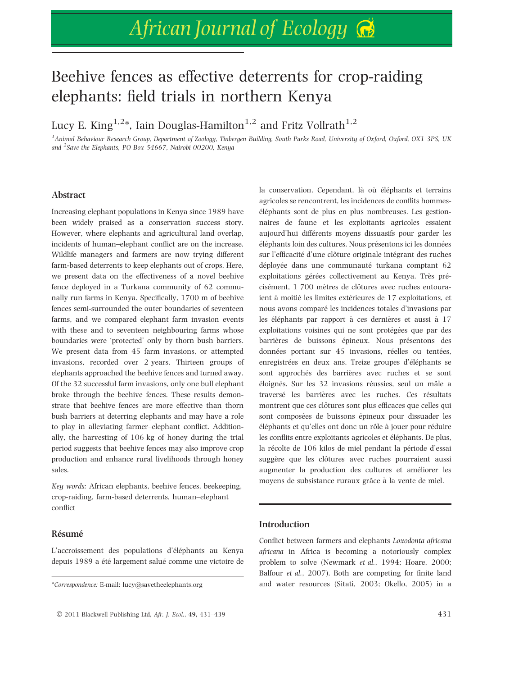# African Journal of Ecology

# Beehive fences as effective deterrents for crop-raiding elephants: field trials in northern Kenya

Lucy E. King<sup>1,2\*</sup>, Iain Douglas-Hamilton<sup>1,2</sup> and Fritz Vollrath<sup>1,2</sup>

<sup>1</sup> Animal Behaviour Research Group, Department of Zoology, Tinbergen Building, South Parks Road, University of Oxford, Oxford, OX1 3PS, UK and <sup>2</sup> Save the Elephants, PO Box 54667, Nairobi 00200, Kenya

## Abstract

Increasing elephant populations in Kenya since 1989 have been widely praised as a conservation success story. However, where elephants and agricultural land overlap, incidents of human–elephant conflict are on the increase. Wildlife managers and farmers are now trying different farm-based deterrents to keep elephants out of crops. Here, we present data on the effectiveness of a novel beehive fence deployed in a Turkana community of 62 communally run farms in Kenya. Specifically, 1700 m of beehive fences semi-surrounded the outer boundaries of seventeen farms, and we compared elephant farm invasion events with these and to seventeen neighbouring farms whose boundaries were 'protected' only by thorn bush barriers. We present data from 45 farm invasions, or attempted invasions, recorded over 2 years. Thirteen groups of elephants approached the beehive fences and turned away. Of the 32 successful farm invasions, only one bull elephant broke through the beehive fences. These results demonstrate that beehive fences are more effective than thorn bush barriers at deterring elephants and may have a role to play in alleviating farmer–elephant conflict. Additionally, the harvesting of 106 kg of honey during the trial period suggests that beehive fences may also improve crop production and enhance rural livelihoods through honey sales.

Key words: African elephants, beehive fences, beekeeping, crop-raiding, farm-based deterrents, human–elephant conflict

#### Résumé

L'accroissement des populations d'éléphants au Kenya depuis 1989 a été largement salué comme une victoire de la conservation. Cependant, là où éléphants et terrains agricoles se rencontrent, les incidences de conflits hommeséléphants sont de plus en plus nombreuses. Les gestionnaires de faune et les exploitants agricoles essaient aujourd'hui différents moyens dissuasifs pour garder les éléphants loin des cultures. Nous présentons ici les données sur l'efficacité d'une clôture originale intégrant des ruches déployée dans une communauté turkana comptant 62 exploitations gérées collectivement au Kenya. Très précisément, 1 700 mètres de clôtures avec ruches entouraient à moitié les limites extérieures de 17 exploitations, et nous avons compare´ les incidences totales d'invasions par les éléphants par rapport à ces dernières et aussi à 17 exploitations voisines qui ne sont protégées que par des barrières de buissons épineux. Nous présentons des données portant sur 45 invasions, réelles ou tentées, enregistrées en deux ans. Treize groupes d'éléphants se sont approchés des barrières avec ruches et se sont éloignés. Sur les 32 invasions réussies, seul un mâle a traversé les barrières avec les ruches. Ces résultats montrent que ces clôtures sont plus efficaces que celles qui sont composées de buissons épineux pour dissuader les éléphants et qu'elles ont donc un rôle à jouer pour réduire les conflits entre exploitants agricoles et éléphants. De plus, la récolte de 106 kilos de miel pendant la période d'essai suggère que les clôtures avec ruches pourraient aussi augmenter la production des cultures et améliorer les moyens de subsistance ruraux grâce à la vente de miel.

#### Introduction

Conflict between farmers and elephants Loxodonta africana africana in Africa is becoming a notoriously complex problem to solve (Newmark et al., 1994; Hoare, 2000; Balfour et al., 2007). Both are competing for finite land \*Correspondence: E-mail: lucy@savetheelephants.org and water resources (Sitati, 2003; Okello, 2005) in a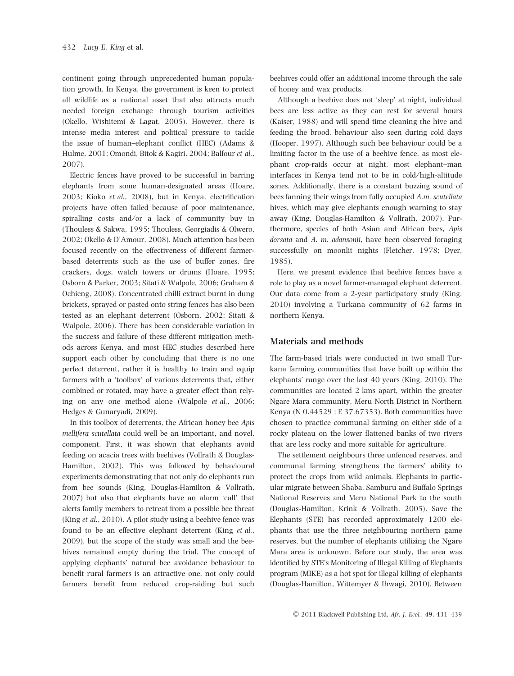continent going through unprecedented human population growth. In Kenya, the government is keen to protect all wildlife as a national asset that also attracts much needed foreign exchange through tourism activities (Okello, Wishitemi & Lagat, 2005). However, there is intense media interest and political pressure to tackle the issue of human–elephant conflict (HEC) (Adams & Hulme, 2001; Omondi, Bitok & Kagiri, 2004; Balfour et al., 2007).

Electric fences have proved to be successful in barring elephants from some human-designated areas (Hoare, 2003; Kioko et al., 2008), but in Kenya, electrification projects have often failed because of poor maintenance, spiralling costs and/or a lack of community buy in (Thouless & Sakwa, 1995; Thouless, Georgiadis & Olwero, 2002; Okello & D'Amour, 2008). Much attention has been focused recently on the effectiveness of different farmerbased deterrents such as the use of buffer zones, fire crackers, dogs, watch towers or drums (Hoare, 1995; Osborn & Parker, 2003; Sitati & Walpole, 2006; Graham & Ochieng, 2008). Concentrated chilli extract burnt in dung brickets, sprayed or pasted onto string fences has also been tested as an elephant deterrent (Osborn, 2002; Sitati & Walpole, 2006). There has been considerable variation in the success and failure of these different mitigation methods across Kenya, and most HEC studies described here support each other by concluding that there is no one perfect deterrent, rather it is healthy to train and equip farmers with a 'toolbox' of various deterrents that, either combined or rotated, may have a greater effect than relying on any one method alone (Walpole et al., 2006; Hedges & Gunaryadi, 2009).

In this toolbox of deterrents, the African honey bee Apis mellifera scutellata could well be an important, and novel, component. First, it was shown that elephants avoid feeding on acacia trees with beehives (Vollrath & Douglas-Hamilton, 2002). This was followed by behavioural experiments demonstrating that not only do elephants run from bee sounds (King, Douglas-Hamilton & Vollrath, 2007) but also that elephants have an alarm 'call' that alerts family members to retreat from a possible bee threat (King et al., 2010). A pilot study using a beehive fence was found to be an effective elephant deterrent (King et al., 2009), but the scope of the study was small and the beehives remained empty during the trial. The concept of applying elephants' natural bee avoidance behaviour to benefit rural farmers is an attractive one, not only could farmers benefit from reduced crop-raiding but such

beehives could offer an additional income through the sale of honey and wax products.

Although a beehive does not 'sleep' at night, individual bees are less active as they can rest for several hours (Kaiser, 1988) and will spend time cleaning the hive and feeding the brood, behaviour also seen during cold days (Hooper, 1997). Although such bee behaviour could be a limiting factor in the use of a beehive fence, as most elephant crop-raids occur at night, most elephant–man interfaces in Kenya tend not to be in cold/high-altitude zones. Additionally, there is a constant buzzing sound of bees fanning their wings from fully occupied A.m. scutellata hives, which may give elephants enough warning to stay away (King, Douglas-Hamilton & Vollrath, 2007). Furthermore, species of both Asian and African bees, Apis dorsata and A. m. adansonii, have been observed foraging successfully on moonlit nights (Fletcher, 1978; Dyer, 1985).

Here, we present evidence that beehive fences have a role to play as a novel farmer-managed elephant deterrent. Our data come from a 2-year participatory study (King, 2010) involving a Turkana community of 62 farms in northern Kenya.

#### Materials and methods

The farm-based trials were conducted in two small Turkana farming communities that have built up within the elephants' range over the last 40 years (King, 2010). The communities are located 2 kms apart, within the greater Ngare Mara community, Meru North District in Northern Kenya (N 0.44529 : E 37.67353). Both communities have chosen to practice communal farming on either side of a rocky plateau on the lower flattened banks of two rivers that are less rocky and more suitable for agriculture.

The settlement neighbours three unfenced reserves, and communal farming strengthens the farmers' ability to protect the crops from wild animals. Elephants in particular migrate between Shaba, Samburu and Buffalo Springs National Reserves and Meru National Park to the south (Douglas-Hamilton, Krink & Vollrath, 2005). Save the Elephants (STE) has recorded approximately 1200 elephants that use the three neighbouring northern game reserves, but the number of elephants utilizing the Ngare Mara area is unknown. Before our study, the area was identified by STE's Monitoring of Illegal Killing of Elephants program (MIKE) as a hot spot for illegal killing of elephants (Douglas-Hamilton, Wittemyer & Ihwagi, 2010). Between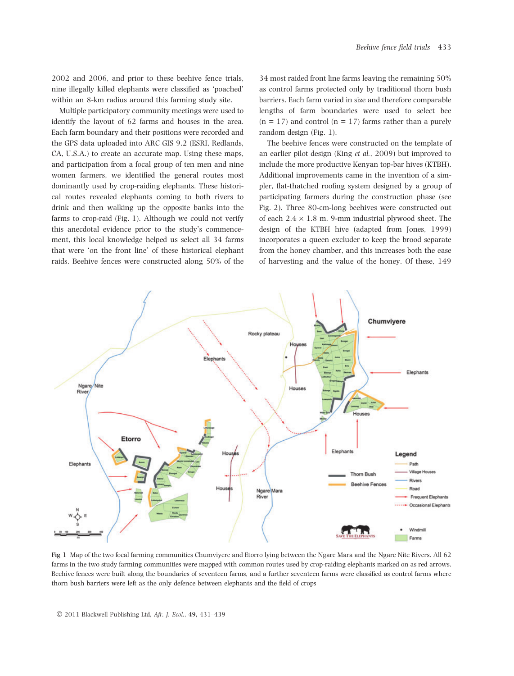2002 and 2006, and prior to these beehive fence trials, nine illegally killed elephants were classified as 'poached' within an 8-km radius around this farming study site.

Multiple participatory community meetings were used to identify the layout of 62 farms and houses in the area. Each farm boundary and their positions were recorded and the GPS data uploaded into ARC GIS 9.2 (ESRI, Redlands, CA, U.S.A.) to create an accurate map. Using these maps, and participation from a focal group of ten men and nine women farmers, we identified the general routes most dominantly used by crop-raiding elephants. These historical routes revealed elephants coming to both rivers to drink and then walking up the opposite banks into the farms to crop-raid (Fig. 1). Although we could not verify this anecdotal evidence prior to the study's commencement, this local knowledge helped us select all 34 farms that were 'on the front line' of these historical elephant raids. Beehive fences were constructed along 50% of the

34 most raided front line farms leaving the remaining 50% as control farms protected only by traditional thorn bush barriers. Each farm varied in size and therefore comparable lengths of farm boundaries were used to select bee  $(n = 17)$  and control  $(n = 17)$  farms rather than a purely random design (Fig. 1).

The beehive fences were constructed on the template of an earlier pilot design (King et al., 2009) but improved to include the more productive Kenyan top-bar hives (KTBH). Additional improvements came in the invention of a simpler, flat-thatched roofing system designed by a group of participating farmers during the construction phase (see Fig. 2). Three 80-cm-long beehives were constructed out of each  $2.4 \times 1.8$  m, 9-mm industrial plywood sheet. The design of the KTBH hive (adapted from Jones, 1999) incorporates a queen excluder to keep the brood separate from the honey chamber, and this increases both the ease of harvesting and the value of the honey. Of these, 149



Fig 1 Map of the two focal farming communities Chumviyere and Etorro lying between the Ngare Mara and the Ngare Nite Rivers. All 62 farms in the two study farming communities were mapped with common routes used by crop-raiding elephants marked on as red arrows. Beehive fences were built along the boundaries of seventeen farms, and a further seventeen farms were classified as control farms where thorn bush barriers were left as the only defence between elephants and the field of crops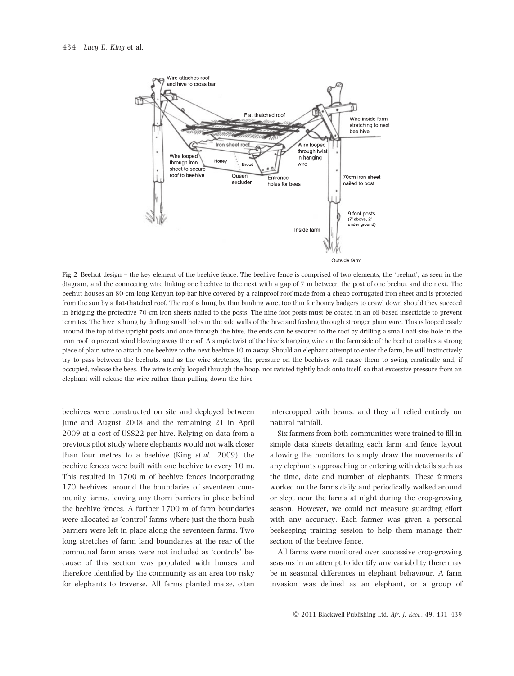

Fig 2 Beehut design – the key element of the beehive fence. The beehive fence is comprised of two elements, the 'beehut', as seen in the diagram, and the connecting wire linking one beehive to the next with a gap of 7 m between the post of one beehut and the next. The beehut houses an 80-cm-long Kenyan top-bar hive covered by a rainproof roof made from a cheap corrugated iron sheet and is protected from the sun by a flat-thatched roof. The roof is hung by thin binding wire, too thin for honey badgers to crawl down should they succeed in bridging the protective 70-cm iron sheets nailed to the posts. The nine foot posts must be coated in an oil-based insecticide to prevent termites. The hive is hung by drilling small holes in the side walls of the hive and feeding through stronger plain wire. This is looped easily around the top of the upright posts and once through the hive, the ends can be secured to the roof by drilling a small nail-size hole in the iron roof to prevent wind blowing away the roof. A simple twist of the hive's hanging wire on the farm side of the beehut enables a strong piece of plain wire to attach one beehive to the next beehive 10 m away. Should an elephant attempt to enter the farm, he will instinctively try to pass between the beehuts, and as the wire stretches, the pressure on the beehives will cause them to swing erratically and, if occupied, release the bees. The wire is only looped through the hoop, not twisted tightly back onto itself, so that excessive pressure from an elephant will release the wire rather than pulling down the hive

beehives were constructed on site and deployed between June and August 2008 and the remaining 21 in April 2009 at a cost of US\$22 per hive. Relying on data from a previous pilot study where elephants would not walk closer than four metres to a beehive (King et al., 2009), the beehive fences were built with one beehive to every 10 m. This resulted in 1700 m of beehive fences incorporating 170 beehives, around the boundaries of seventeen community farms, leaving any thorn barriers in place behind the beehive fences. A further 1700 m of farm boundaries were allocated as 'control' farms where just the thorn bush barriers were left in place along the seventeen farms. Two long stretches of farm land boundaries at the rear of the communal farm areas were not included as 'controls' because of this section was populated with houses and therefore identified by the community as an area too risky for elephants to traverse. All farms planted maize, often

intercropped with beans, and they all relied entirely on natural rainfall.

Six farmers from both communities were trained to fill in simple data sheets detailing each farm and fence layout allowing the monitors to simply draw the movements of any elephants approaching or entering with details such as the time, date and number of elephants. These farmers worked on the farms daily and periodically walked around or slept near the farms at night during the crop-growing season. However, we could not measure guarding effort with any accuracy. Each farmer was given a personal beekeeping training session to help them manage their section of the beehive fence.

All farms were monitored over successive crop-growing seasons in an attempt to identify any variability there may be in seasonal differences in elephant behaviour. A farm invasion was defined as an elephant, or a group of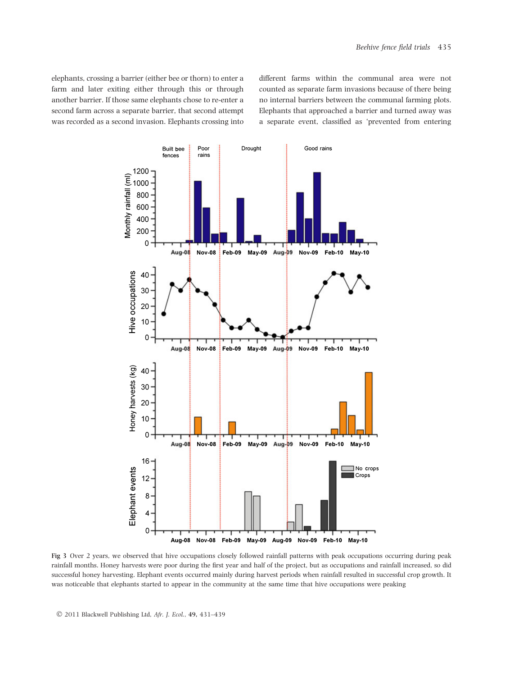elephants, crossing a barrier (either bee or thorn) to enter a farm and later exiting either through this or through another barrier. If those same elephants chose to re-enter a second farm across a separate barrier, that second attempt was recorded as a second invasion. Elephants crossing into different farms within the communal area were not counted as separate farm invasions because of there being no internal barriers between the communal farming plots. Elephants that approached a barrier and turned away was a separate event, classified as 'prevented from entering



Fig 3 Over 2 years, we observed that hive occupations closely followed rainfall patterns with peak occupations occurring during peak rainfall months. Honey harvests were poor during the first year and half of the project, but as occupations and rainfall increased, so did successful honey harvesting. Elephant events occurred mainly during harvest periods when rainfall resulted in successful crop growth. It was noticeable that elephants started to appear in the community at the same time that hive occupations were peaking

© 2011 Blackwell Publishing Ltd, Afr. J. Ecol., 49, 431-439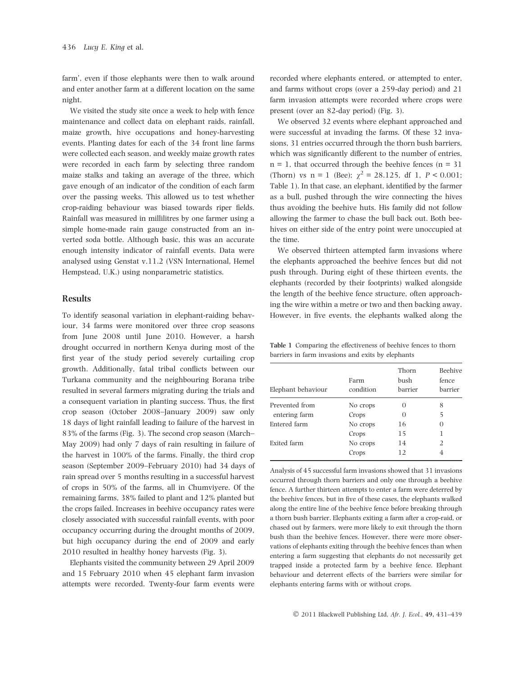farm', even if those elephants were then to walk around and enter another farm at a different location on the same night.

We visited the study site once a week to help with fence maintenance and collect data on elephant raids, rainfall, maize growth, hive occupations and honey-harvesting events. Planting dates for each of the 34 front line farms were collected each season, and weekly maize growth rates were recorded in each farm by selecting three random maize stalks and taking an average of the three, which gave enough of an indicator of the condition of each farm over the passing weeks. This allowed us to test whether crop-raiding behaviour was biased towards riper fields. Rainfall was measured in millilitres by one farmer using a simple home-made rain gauge constructed from an inverted soda bottle. Although basic, this was an accurate enough intensity indicator of rainfall events. Data were analysed using Genstat v.11.2 (VSN International, Hemel Hempstead, U.K.) using nonparametric statistics.

#### Results

To identify seasonal variation in elephant-raiding behaviour, 34 farms were monitored over three crop seasons from June 2008 until June 2010. However, a harsh drought occurred in northern Kenya during most of the first year of the study period severely curtailing crop growth. Additionally, fatal tribal conflicts between our Turkana community and the neighbouring Borana tribe resulted in several farmers migrating during the trials and a consequent variation in planting success. Thus, the first crop season (October 2008–January 2009) saw only 18 days of light rainfall leading to failure of the harvest in 83% of the farms (Fig. 3). The second crop season (March– May 2009) had only 7 days of rain resulting in failure of the harvest in 100% of the farms. Finally, the third crop season (September 2009–February 2010) had 34 days of rain spread over 5 months resulting in a successful harvest of crops in 50% of the farms, all in Chumviyere. Of the remaining farms, 38% failed to plant and 12% planted but the crops failed. Increases in beehive occupancy rates were closely associated with successful rainfall events, with poor occupancy occurring during the drought months of 2009, but high occupancy during the end of 2009 and early 2010 resulted in healthy honey harvests (Fig. 3).

Elephants visited the community between 29 April 2009 and 15 February 2010 when 45 elephant farm invasion attempts were recorded. Twenty-four farm events were

recorded where elephants entered, or attempted to enter, and farms without crops (over a 259-day period) and 21 farm invasion attempts were recorded where crops were present (over an 82-day period) (Fig. 3).

We observed 32 events where elephant approached and were successful at invading the farms. Of these 32 invasions, 31 entries occurred through the thorn bush barriers, which was significantly different to the number of entries.  $n = 1$ , that occurred through the beehive fences ( $n = 31$ ) (Thorn) vs n = 1 (Bee);  $\chi^2$  = 28.125, df 1, P < 0.001; Table 1). In that case, an elephant, identified by the farmer as a bull, pushed through the wire connecting the hives thus avoiding the beehive huts. His family did not follow allowing the farmer to chase the bull back out. Both beehives on either side of the entry point were unoccupied at the time.

We observed thirteen attempted farm invasions where the elephants approached the beehive fences but did not push through. During eight of these thirteen events, the elephants (recorded by their footprints) walked alongside the length of the beehive fence structure, often approaching the wire within a metre or two and then backing away. However, in five events, the elephants walked along the

Table 1 Comparing the effectiveness of beehive fences to thorn barriers in farm invasions and exits by elephants

| Elephant behaviour              | Farm<br>condition | Thorn<br>bush<br>barrier | Beehive<br>fence<br>barrier |  |
|---------------------------------|-------------------|--------------------------|-----------------------------|--|
| Prevented from<br>entering farm | No crops          | $\left( \right)$         | 8                           |  |
|                                 | Crops             | $\Omega$                 | 5                           |  |
| Entered farm                    | No crops          | 16                       | 0                           |  |
|                                 | Crops             | 15                       | 1                           |  |
| Exited farm                     | No crops          | 14                       | 2                           |  |
|                                 | Crops             | 12                       |                             |  |
|                                 |                   |                          |                             |  |

Analysis of 45 successful farm invasions showed that 31 invasions occurred through thorn barriers and only one through a beehive fence. A further thirteen attempts to enter a farm were deterred by the beehive fences, but in five of these cases, the elephants walked along the entire line of the beehive fence before breaking through a thorn bush barrier. Elephants exiting a farm after a crop-raid, or chased out by farmers, were more likely to exit through the thorn bush than the beehive fences. However, there were more observations of elephants exiting through the beehive fences than when entering a farm suggesting that elephants do not necessarily get trapped inside a protected farm by a beehive fence. Elephant behaviour and deterrent effects of the barriers were similar for elephants entering farms with or without crops.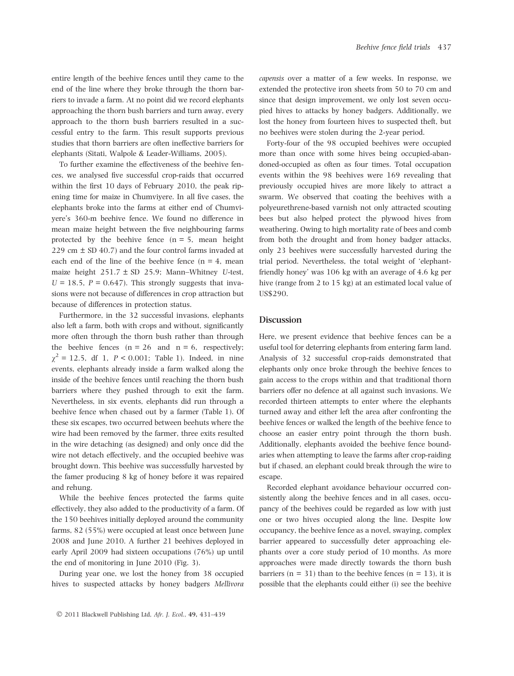entire length of the beehive fences until they came to the end of the line where they broke through the thorn barriers to invade a farm. At no point did we record elephants approaching the thorn bush barriers and turn away, every approach to the thorn bush barriers resulted in a successful entry to the farm. This result supports previous studies that thorn barriers are often ineffective barriers for elephants (Sitati, Walpole & Leader-Williams, 2005).

To further examine the effectiveness of the beehive fences, we analysed five successful crop-raids that occurred within the first 10 days of February 2010, the peak ripening time for maize in Chumviyere. In all five cases, the elephants broke into the farms at either end of Chumviyere's 360-m beehive fence. We found no difference in mean maize height between the five neighbouring farms protected by the beehive fence  $(n = 5,$  mean height 229 cm  $\pm$  SD 40.7) and the four control farms invaded at each end of the line of the beehive fence  $(n = 4, \text{ mean})$ maize height  $251.7 \pm SD$  25.9; Mann–Whitney U-test,  $U = 18.5$ ,  $P = 0.647$ . This strongly suggests that invasions were not because of differences in crop attraction but because of differences in protection status.

Furthermore, in the 32 successful invasions, elephants also left a farm, both with crops and without, significantly more often through the thorn bush rather than through the beehive fences  $(n = 26$  and  $n = 6$ , respectively;  $\chi^2 = 12.5$ , df 1, P < 0.001; Table 1). Indeed, in nine events, elephants already inside a farm walked along the inside of the beehive fences until reaching the thorn bush barriers where they pushed through to exit the farm. Nevertheless, in six events, elephants did run through a beehive fence when chased out by a farmer (Table 1). Of these six escapes, two occurred between beehuts where the wire had been removed by the farmer, three exits resulted in the wire detaching (as designed) and only once did the wire not detach effectively, and the occupied beehive was brought down. This beehive was successfully harvested by the famer producing 8 kg of honey before it was repaired and rehung.

While the beehive fences protected the farms quite effectively, they also added to the productivity of a farm. Of the 150 beehives initially deployed around the community farms, 82 (55%) were occupied at least once between June 2008 and June 2010. A further 21 beehives deployed in early April 2009 had sixteen occupations (76%) up until the end of monitoring in June 2010 (Fig. 3).

During year one, we lost the honey from 38 occupied hives to suspected attacks by honey badgers Mellivora

capensis over a matter of a few weeks. In response, we extended the protective iron sheets from 50 to 70 cm and since that design improvement, we only lost seven occupied hives to attacks by honey badgers. Additionally, we lost the honey from fourteen hives to suspected theft, but no beehives were stolen during the 2-year period.

Forty-four of the 98 occupied beehives were occupied more than once with some hives being occupied-abandoned-occupied as often as four times. Total occupation events within the 98 beehives were 169 revealing that previously occupied hives are more likely to attract a swarm. We observed that coating the beehives with a polyeurethrene-based varnish not only attracted scouting bees but also helped protect the plywood hives from weathering. Owing to high mortality rate of bees and comb from both the drought and from honey badger attacks, only 23 beehives were successfully harvested during the trial period. Nevertheless, the total weight of 'elephantfriendly honey' was 106 kg with an average of 4.6 kg per hive (range from 2 to 15 kg) at an estimated local value of US\$290.

#### Discussion

Here, we present evidence that beehive fences can be a useful tool for deterring elephants from entering farm land. Analysis of 32 successful crop-raids demonstrated that elephants only once broke through the beehive fences to gain access to the crops within and that traditional thorn barriers offer no defence at all against such invasions. We recorded thirteen attempts to enter where the elephants turned away and either left the area after confronting the beehive fences or walked the length of the beehive fence to choose an easier entry point through the thorn bush. Additionally, elephants avoided the beehive fence boundaries when attempting to leave the farms after crop-raiding but if chased, an elephant could break through the wire to escape.

Recorded elephant avoidance behaviour occurred consistently along the beehive fences and in all cases, occupancy of the beehives could be regarded as low with just one or two hives occupied along the line. Despite low occupancy, the beehive fence as a novel, swaying, complex barrier appeared to successfully deter approaching elephants over a core study period of 10 months. As more approaches were made directly towards the thorn bush barriers ( $n = 31$ ) than to the beehive fences ( $n = 13$ ), it is possible that the elephants could either (i) see the beehive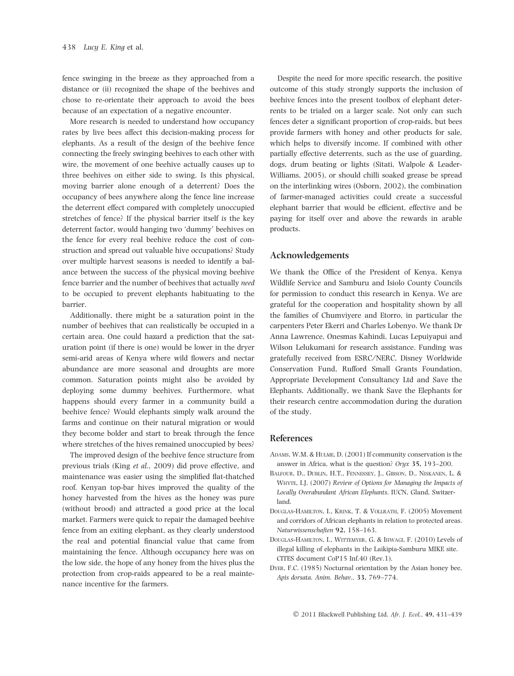fence swinging in the breeze as they approached from a distance or (ii) recognized the shape of the beehives and chose to re-orientate their approach to avoid the bees because of an expectation of a negative encounter.

More research is needed to understand how occupancy rates by live bees affect this decision-making process for elephants. As a result of the design of the beehive fence connecting the freely swinging beehives to each other with wire, the movement of one beehive actually causes up to three beehives on either side to swing. Is this physical, moving barrier alone enough of a deterrent? Does the occupancy of bees anywhere along the fence line increase the deterrent effect compared with completely unoccupied stretches of fence? If the physical barrier itself is the key deterrent factor, would hanging two 'dummy' beehives on the fence for every real beehive reduce the cost of construction and spread out valuable hive occupations? Study over multiple harvest seasons is needed to identify a balance between the success of the physical moving beehive fence barrier and the number of beehives that actually need to be occupied to prevent elephants habituating to the barrier.

Additionally, there might be a saturation point in the number of beehives that can realistically be occupied in a certain area. One could hazard a prediction that the saturation point (if there is one) would be lower in the dryer semi-arid areas of Kenya where wild flowers and nectar abundance are more seasonal and droughts are more common. Saturation points might also be avoided by deploying some dummy beehives. Furthermore, what happens should every farmer in a community build a beehive fence? Would elephants simply walk around the farms and continue on their natural migration or would they become bolder and start to break through the fence where stretches of the hives remained unoccupied by bees?

The improved design of the beehive fence structure from previous trials (King et al., 2009) did prove effective, and maintenance was easier using the simplified flat-thatched roof. Kenyan top-bar hives improved the quality of the honey harvested from the hives as the honey was pure (without brood) and attracted a good price at the local market. Farmers were quick to repair the damaged beehive fence from an exiting elephant, as they clearly understood the real and potential financial value that came from maintaining the fence. Although occupancy here was on the low side, the hope of any honey from the hives plus the protection from crop-raids appeared to be a real maintenance incentive for the farmers.

Despite the need for more specific research, the positive outcome of this study strongly supports the inclusion of beehive fences into the present toolbox of elephant deterrents to be trialed on a larger scale. Not only can such fences deter a significant proportion of crop-raids, but bees provide farmers with honey and other products for sale, which helps to diversify income. If combined with other partially effective deterrents, such as the use of guarding, dogs, drum beating or lights (Sitati, Walpole & Leader-Williams, 2005), or should chilli soaked grease be spread on the interlinking wires (Osborn, 2002), the combination of farmer-managed activities could create a successful elephant barrier that would be efficient, effective and be paying for itself over and above the rewards in arable products.

## Acknowledgements

We thank the Office of the President of Kenya, Kenya Wildlife Service and Samburu and Isiolo County Councils for permission to conduct this research in Kenya. We are grateful for the cooperation and hospitality shown by all the families of Chumviyere and Etorro, in particular the carpenters Peter Ekerri and Charles Lobenyo. We thank Dr Anna Lawrence, Onesmas Kahindi, Lucas Lepuiyapui and Wilson Lelukumani for research assistance. Funding was gratefully received from ESRC/NERC, Disney Worldwide Conservation Fund, Rufford Small Grants Foundation, Appropriate Development Consultancy Ltd and Save the Elephants. Additionally, we thank Save the Elephants for their research centre accommodation during the duration of the study.

#### References

- Adams, W.M. & Hulme, D. (2001) If community conservation is the answer in Africa, what is the question? Oryx 35, 193–200.
- Balfour, D., Dublin, H.T., Fennessey, J., Gibson, D., Niskanen, L. & Whyte, I.J. (2007) Review of Options for Managing the Impacts of Locally Overabundant African Elephants. IUCN, Gland, Switzerland.
- Douglas-Hamilton, I., Krink, T. & Vollrath, F. (2005) Movement and corridors of African elephants in relation to protected areas. Naturwissenschaften 92, 158–163.
- Douglas-Hamilton, I., Wittemyer, G. & Ihwagi, F. (2010) Levels of illegal killing of elephants in the Laikipia-Samburu MIKE site. CITES document CoP15 Inf.40 (Rev.1).
- Dyer, F.C. (1985) Nocturnal orientation by the Asian honey bee, Apis dorsata. Anim. Behav., 33, 769–774.